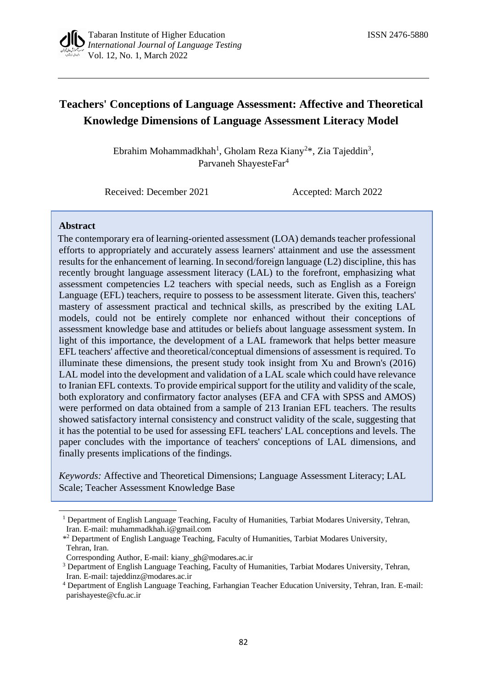# **Teachers' Conceptions of Language Assessment: Affective and Theoretical Knowledge Dimensions of Language Assessment Literacy Model**

Ebrahim Mohammadkhah<sup>1</sup>, Gholam Reza Kiany<sup>2\*</sup>, Zia Tajeddin<sup>3</sup>, Parvaneh ShayesteFar<sup>4</sup>

Received: December 2021 Accepted: March 2022

### **Abstract**

The contemporary era of learning-oriented assessment (LOA) demands teacher professional efforts to appropriately and accurately assess learners' attainment and use the assessment results for the enhancement of learning. In second/foreign language (L2) discipline, this has recently brought language assessment literacy (LAL) to the forefront, emphasizing what assessment competencies L2 teachers with special needs, such as English as a Foreign Language (EFL) teachers, require to possess to be assessment literate. Given this, teachers' mastery of assessment practical and technical skills, as prescribed by the exiting LAL models, could not be entirely complete nor enhanced without their conceptions of assessment knowledge base and attitudes or beliefs about language assessment system. In light of this importance, the development of a LAL framework that helps better measure EFL teachers' affective and theoretical/conceptual dimensions of assessment is required. To illuminate these dimensions, the present study took insight from Xu and Brown's (2016) LAL model into the development and validation of a LAL scale which could have relevance to Iranian EFL contexts. To provide empirical support for the utility and validity of the scale, both exploratory and confirmatory factor analyses (EFA and CFA with SPSS and AMOS) were performed on data obtained from a sample of 213 Iranian EFL teachers. The results showed satisfactory internal consistency and construct validity of the scale, suggesting that it has the potential to be used for assessing EFL teachers' LAL conceptions and levels. The paper concludes with the importance of teachers' conceptions of LAL dimensions, and finally presents implications of the findings.

*Keywords:* Affective and Theoretical Dimensions; Language Assessment Literacy; LAL Scale; Teacher Assessment Knowledge Base

<sup>&</sup>lt;sup>1</sup> Department of English Language Teaching, Faculty of Humanities, Tarbiat Modares University, Tehran, Iran. E-mail[: muhammadkhah.i@gmail.com](mailto:muhammadkhah.i@gmail.com)

<sup>\*</sup> <sup>2</sup> Department of English Language Teaching, Faculty of Humanities, Tarbiat Modares University, Tehran, Iran.

Corresponding Author, E-mail: [kiany\\_gh@modares.ac.ir](mailto:kiany_gh@modares.ac.ir)

<sup>&</sup>lt;sup>3</sup> Department of English Language Teaching, Faculty of Humanities, Tarbiat Modares University, Tehran, Iran. E-mail: [tajeddinz@modares.ac.ir](mailto:tajeddinz@modares.ac.ir)

<sup>4</sup> Department of English Language Teaching, Farhangian Teacher Education University, Tehran, Iran. E-mail: [parishayeste@cfu.ac.ir](mailto:parishayeste@cfu.ac.ir)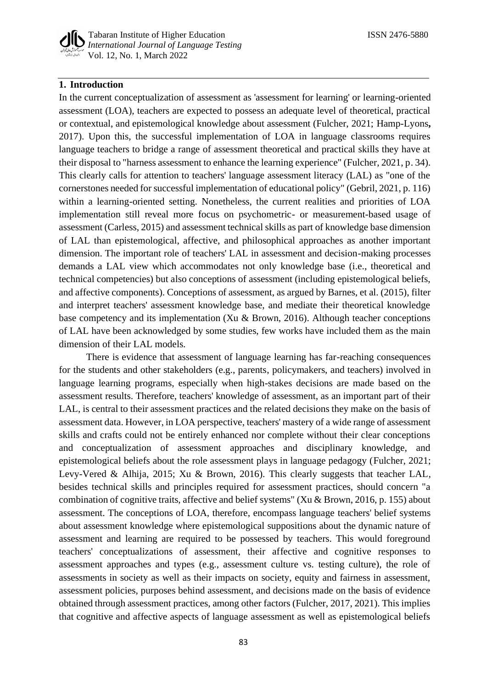

### **1. Introduction**

In the current conceptualization of assessment as 'assessment for learning' or learning-oriented assessment (LOA), teachers are expected to possess an adequate level of theoretical, practical or contextual, and epistemological knowledge about assessment (Fulcher, 2021; Hamp-Lyons**,** 2017). Upon this, the successful implementation of LOA in language classrooms requires language teachers to bridge a range of assessment theoretical and practical skills they have at their disposal to "harness assessment to enhance the learning experience" (Fulcher, 2021, p. 34). This clearly calls for attention to teachers' language assessment literacy (LAL) as "one of the cornerstones needed for successful implementation of educational policy" (Gebril, 2021, p. 116) within a learning-oriented setting. Nonetheless, the current realities and priorities of LOA implementation still reveal more focus on psychometric- or measurement-based usage of assessment (Carless, 2015) and assessment technical skills as part of knowledge base dimension of LAL than epistemological, affective, and philosophical approaches as another important dimension. The important role of teachers' LAL in assessment and decision-making processes demands a LAL view which accommodates not only knowledge base (i.e., theoretical and technical competencies) but also conceptions of assessment (including epistemological beliefs, and affective components). Conceptions of assessment, as argued by Barnes, et al. (2015), filter and interpret teachers' assessment knowledge base, and mediate their theoretical knowledge base competency and its implementation (Xu & Brown, 2016). Although teacher conceptions of LAL have been acknowledged by some studies, few works have included them as the main dimension of their LAL models.

There is evidence that assessment of language learning has far-reaching consequences for the students and other stakeholders (e.g., parents, policymakers, and teachers) involved in language learning programs, especially when high-stakes decisions are made based on the assessment results. Therefore, teachers' knowledge of assessment, as an important part of their LAL, is central to their assessment practices and the related decisions they make on the basis of assessment data. However, in LOA perspective, teachers' mastery of a wide range of assessment skills and crafts could not be entirely enhanced nor complete without their clear conceptions and conceptualization of assessment approaches and disciplinary knowledge, and epistemological beliefs about the role assessment plays in language pedagogy (Fulcher, 2021; Levy-Vered & Alhija, 2015; Xu & Brown, 2016). This clearly suggests that teacher LAL, besides technical skills and principles required for assessment practices, should concern "a combination of cognitive traits, affective and belief systems" (Xu & Brown, 2016, p. 155) about assessment. The conceptions of LOA, therefore, encompass language teachers' belief systems about assessment knowledge where epistemological suppositions about the dynamic nature of assessment and learning are required to be possessed by teachers. This would foreground teachers' conceptualizations of assessment, their affective and cognitive responses to assessment approaches and types (e.g., assessment culture vs. testing culture), the role of assessments in society as well as their impacts on society, equity and fairness in assessment, assessment policies, purposes behind assessment, and decisions made on the basis of evidence obtained through assessment practices, among other factors (Fulcher, 2017, 2021). This implies that cognitive and affective aspects of language assessment as well as epistemological beliefs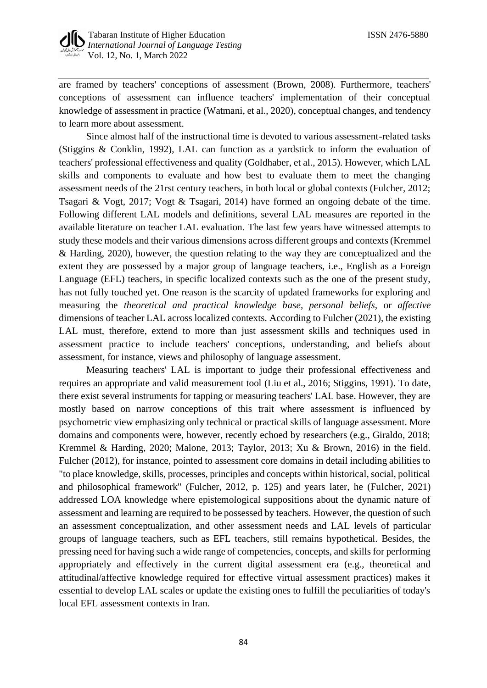are framed by teachers' conceptions of assessment (Brown, 2008). Furthermore, teachers' conceptions of assessment can influence teachers' implementation of their conceptual knowledge of assessment in practice (Watmani, et al., 2020), conceptual changes, and tendency to learn more about assessment.

Since almost half of the instructional time is devoted to various assessment-related tasks (Stiggins & Conklin, 1992), LAL can function as a yardstick to inform the evaluation of teachers' professional effectiveness and quality (Goldhaber, et al., 2015). However, which LAL skills and components to evaluate and how best to evaluate them to meet the changing assessment needs of the 21rst century teachers, in both local or global contexts (Fulcher, 2012; Tsagari & Vogt, 2017; Vogt & Tsagari, 2014) have formed an ongoing debate of the time. Following different LAL models and definitions, several LAL measures are reported in the available literature on teacher LAL evaluation. The last few years have witnessed attempts to study these models and their various dimensions across different groups and contexts (Kremmel & Harding, 2020), however, the question relating to the way they are conceptualized and the extent they are possessed by a major group of language teachers, i.e., English as a Foreign Language (EFL) teachers, in specific localized contexts such as the one of the present study, has not fully touched yet. One reason is the scarcity of updated frameworks for exploring and measuring the *theoretical and practical knowledge base, personal beliefs,* or *affective* dimensions of teacher LAL across localized contexts. According to Fulcher (2021), the existing LAL must, therefore, extend to more than just assessment skills and techniques used in assessment practice to include teachers' conceptions, understanding, and beliefs about assessment, for instance, views and philosophy of language assessment.

Measuring teachers' LAL is important to judge their professional effectiveness and requires an appropriate and valid measurement tool (Liu et al., 2016; Stiggins, 1991). To date, there exist several instruments for tapping or measuring teachers' LAL base. However, they are mostly based on narrow conceptions of this trait where assessment is influenced by psychometric view emphasizing only technical or practical skills of language assessment. More domains and components were, however, recently echoed by researchers (e.g., Giraldo, 2018; Kremmel & Harding, 2020; Malone, 2013; Taylor, 2013; Xu & Brown, 2016) in the field. Fulcher (2012), for instance, pointed to assessment core domains in detail including abilities to "to place knowledge, skills, processes, principles and concepts within historical, social, political and philosophical framework" (Fulcher, 2012, p. 125) and years later, he (Fulcher, 2021) addressed LOA knowledge where epistemological suppositions about the dynamic nature of assessment and learning are required to be possessed by teachers. However, the question of such an assessment conceptualization, and other assessment needs and LAL levels of particular groups of language teachers, such as EFL teachers, still remains hypothetical. Besides, the pressing need for having such a wide range of competencies, concepts, and skills for performing appropriately and effectively in the current digital assessment era (e.g., theoretical and attitudinal/affective knowledge required for effective virtual assessment practices) makes it essential to develop LAL scales or update the existing ones to fulfill the peculiarities of today's local EFL assessment contexts in Iran.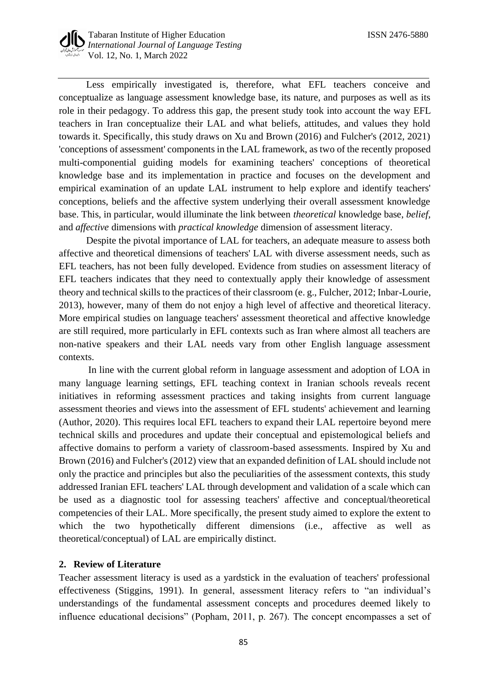Less empirically investigated is, therefore, what EFL teachers conceive and conceptualize as language assessment knowledge base, its nature, and purposes as well as its role in their pedagogy. To address this gap, the present study took into account the way EFL teachers in Iran conceptualize their LAL and what beliefs, attitudes, and values they hold towards it. Specifically, this study draws on Xu and Brown (2016) and Fulcher's (2012, 2021) 'conceptions of assessment' components in the LAL framework, as two of the recently proposed multi-componential guiding models for examining teachers' conceptions of theoretical knowledge base and its implementation in practice and focuses on the development and empirical examination of an update LAL instrument to help explore and identify teachers' conceptions, beliefs and the affective system underlying their overall assessment knowledge base. This, in particular, would illuminate the link between *theoretical* knowledge base, *belief,* and *affective* dimensions with *practical knowledge* dimension of assessment literacy.

Despite the pivotal importance of LAL for teachers, an adequate measure to assess both affective and theoretical dimensions of teachers' LAL with diverse assessment needs, such as EFL teachers, has not been fully developed. Evidence from studies on assessment literacy of EFL teachers indicates that they need to contextually apply their knowledge of assessment theory and technical skills to the practices of their classroom (e. g., Fulcher, 2012; Inbar-Lourie, 2013), however, many of them do not enjoy a high level of affective and theoretical literacy. More empirical studies on language teachers' assessment theoretical and affective knowledge are still required, more particularly in EFL contexts such as Iran where almost all teachers are non-native speakers and their LAL needs vary from other English language assessment contexts.

In line with the current global reform in language assessment and adoption of LOA in many language learning settings, EFL teaching context in Iranian schools reveals recent initiatives in reforming assessment practices and taking insights from current language assessment theories and views into the assessment of EFL students' achievement and learning (Author, 2020). This requires local EFL teachers to expand their LAL repertoire beyond mere technical skills and procedures and update their conceptual and epistemological beliefs and affective domains to perform a variety of classroom-based assessments. Inspired by Xu and Brown (2016) and Fulcher's (2012) view that an expanded definition of LAL should include not only the practice and principles but also the peculiarities of the assessment contexts, this study addressed Iranian EFL teachers' LAL through development and validation of a scale which can be used as a diagnostic tool for assessing teachers' affective and conceptual/theoretical competencies of their LAL. More specifically, the present study aimed to explore the extent to which the two hypothetically different dimensions (i.e., affective as well as theoretical/conceptual) of LAL are empirically distinct.

### **2. Review of Literature**

Teacher assessment literacy is used as a yardstick in the evaluation of teachers' professional effectiveness (Stiggins, 1991). In general, assessment literacy refers to "an individual's understandings of the fundamental assessment concepts and procedures deemed likely to influence educational decisions" (Popham, 2011, p. 267). The concept encompasses a set of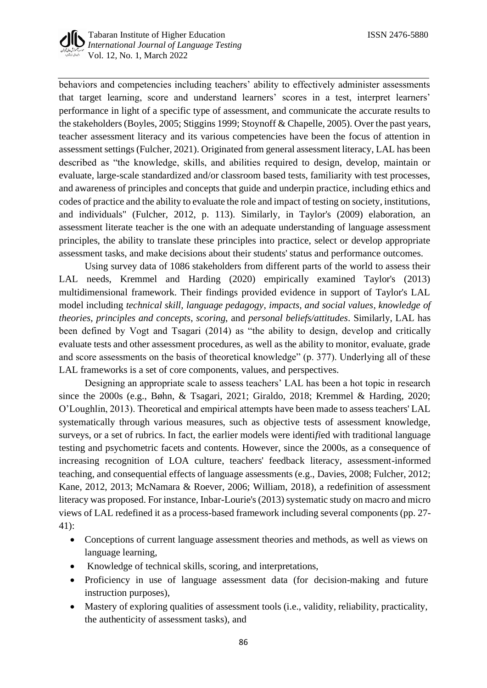

behaviors and competencies including teachers' ability to effectively administer assessments that target learning, score and understand learners' scores in a test, interpret learners' performance in light of a specific type of assessment, and communicate the accurate results to the stakeholders (Boyles, 2005; Stiggins 1999; Stoynoff & Chapelle, 2005). Over the past years, teacher assessment literacy and its various competencies have been the focus of attention in assessment settings (Fulcher, 2021). Originated from general assessment literacy, LAL has been described as "the knowledge, skills, and abilities required to design, develop, maintain or evaluate, large-scale standardized and/or classroom based tests, familiarity with test processes, and awareness of principles and concepts that guide and underpin practice, including ethics and codes of practice and the ability to evaluate the role and impact of testing on society, institutions, and individuals" (Fulcher, 2012, p. 113). Similarly, in Taylor's (2009) elaboration, an assessment literate teacher is the one with an adequate understanding of language assessment principles, the ability to translate these principles into practice, select or develop appropriate assessment tasks, and make decisions about their students' status and performance outcomes.

Using survey data of 1086 stakeholders from different parts of the world to assess their LAL needs, Kremmel and Harding (2020) empirically examined Taylor's (2013) multidimensional framework. Their findings provided evidence in support of Taylor's LAL model including *technical skill, language pedagogy*, *impacts, and social values*, *knowledge of theories*, *principles and concepts*, *scoring*, and *personal beliefs/attitudes*. Similarly, LAL has been defined by Vogt and Tsagari (2014) as "the ability to design, develop and critically evaluate tests and other assessment procedures, as well as the ability to monitor, evaluate, grade and score assessments on the basis of theoretical knowledge" (p. 377). Underlying all of these LAL frameworks is a set of core components, values, and perspectives.

Designing an appropriate scale to assess teachers' LAL has been a hot topic in research since the 2000s (e.g., Bøhn, & Tsagari, 2021; Giraldo, 2018; Kremmel & Harding, 2020; O'Loughlin, 2013). Theoretical and empirical attempts have been made to assess teachers' LAL systematically through various measures, such as objective tests of assessment knowledge, surveys, or a set of rubrics. In fact, the earlier models were identi*fi*ed with traditional language testing and psychometric facets and contents. However, since the 2000s, as a consequence of increasing recognition of LOA culture, teachers' feedback literacy, assessment-informed teaching, and consequential effects of language assessments (e.g., Davies, 2008; Fulcher, 2012; Kane, 2012, 2013; McNamara & Roever, 2006; William, 2018), a redefinition of assessment literacy was proposed. For instance, Inbar-Lourie's (2013) systematic study on macro and micro views of LAL redefined it as a process-based framework including several components (pp. 27- 41):

- Conceptions of current language assessment theories and methods, as well as views on language learning,
- Knowledge of technical skills, scoring, and interpretations,
- Proficiency in use of language assessment data (for decision-making and future instruction purposes),
- Mastery of exploring qualities of assessment tools (i.e., validity, reliability, practicality, the authenticity of assessment tasks), and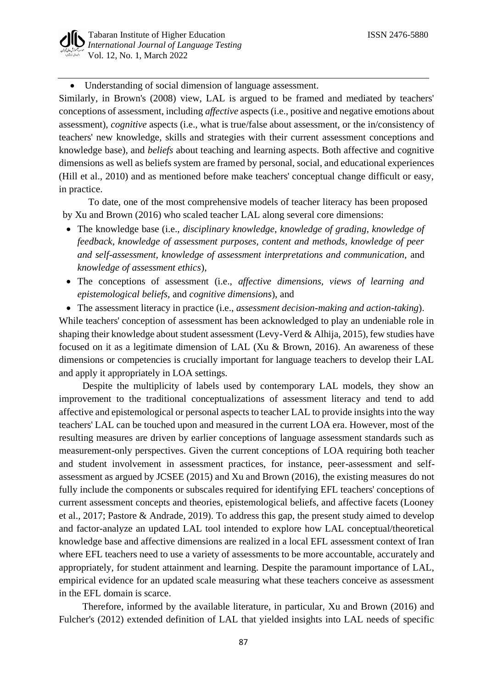• Understanding of social dimension of language assessment.

Similarly, in Brown's (2008) view, LAL is argued to be framed and mediated by teachers' conceptions of assessment, including *affective* aspects (i.e., positive and negative emotions about assessment), *cognitive* aspects (i.e., what is true/false about assessment, or the in/consistency of teachers' new knowledge, skills and strategies with their current assessment conceptions and knowledge base), and *beliefs* about teaching and learning aspects. Both affective and cognitive dimensions as well as beliefs system are framed by personal, social, and educational experiences (Hill et al., 2010) and as mentioned before make teachers' conceptual change difficult or easy, in practice.

To date, one of the most comprehensive models of teacher literacy has been proposed by Xu and Brown (2016) who scaled teacher LAL along several core dimensions:

- The knowledge base (i.e., *disciplinary knowledge, knowledge of grading, knowledge of feedback, knowledge of assessment purposes, content and methods, knowledge of peer and self-assessment, knowledge of assessment interpretations and communication,* and *knowledge of assessment ethics*),
- The conceptions of assessment (i.e., *affective dimensions, views of learning and epistemological beliefs,* and *cognitive dimensions*), and
- The assessment literacy in practice (i.e., *assessment decision-making and action-taking*).

While teachers' conception of assessment has been acknowledged to play an undeniable role in shaping their knowledge about student assessment (Levy-Verd & Alhija, 2015), few studies have focused on it as a legitimate dimension of LAL (Xu & Brown, 2016). An awareness of these dimensions or competencies is crucially important for language teachers to develop their LAL and apply it appropriately in LOA settings.

Despite the multiplicity of labels used by contemporary LAL models, they show an improvement to the traditional conceptualizations of assessment literacy and tend to add affective and epistemological or personal aspects to teacher LAL to provide insights into the way teachers' LAL can be touched upon and measured in the current LOA era. However, most of the resulting measures are driven by earlier conceptions of language assessment standards such as measurement-only perspectives. Given the current conceptions of LOA requiring both teacher and student involvement in assessment practices, for instance, peer-assessment and selfassessment as argued by JCSEE (2015) and Xu and Brown (2016), the existing measures do not fully include the components or subscales required for identifying EFL teachers' conceptions of current assessment concepts and theories, epistemological beliefs, and affective facets (Looney et al., 2017; Pastore & Andrade, 2019). To address this gap, the present study aimed to develop and factor-analyze an updated LAL tool intended to explore how LAL conceptual/theoretical knowledge base and affective dimensions are realized in a local EFL assessment context of Iran where EFL teachers need to use a variety of assessments to be more accountable, accurately and appropriately, for student attainment and learning. Despite the paramount importance of LAL, empirical evidence for an updated scale measuring what these teachers conceive as assessment in the EFL domain is scarce.

Therefore, informed by the available literature, in particular, Xu and Brown (2016) and Fulcher's (2012) extended definition of LAL that yielded insights into LAL needs of specific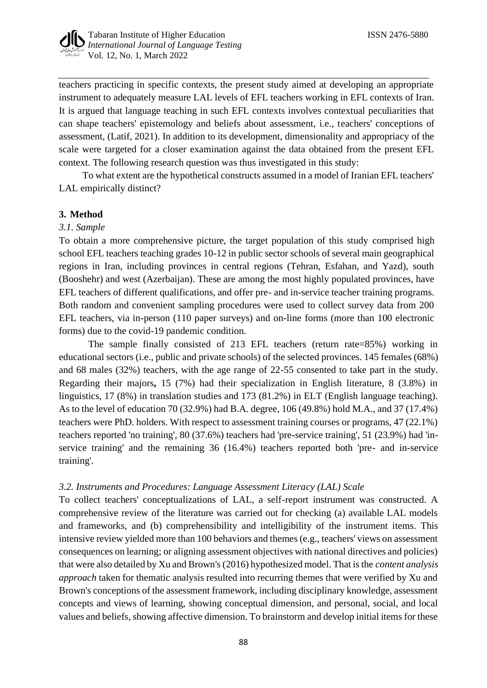

teachers practicing in specific contexts, the present study aimed at developing an appropriate instrument to adequately measure LAL levels of EFL teachers working in EFL contexts of Iran. It is argued that language teaching in such EFL contexts involves contextual peculiarities that can shape teachers' epistemology and beliefs about assessment, i.e., teachers' conceptions of assessment, (Latif, 2021). In addition to its development, dimensionality and appropriacy of the scale were targeted for a closer examination against the data obtained from the present EFL context. The following research question was thus investigated in this study:

To what extent are the hypothetical constructs assumed in a model of Iranian EFL teachers' LAL empirically distinct?

### **3. Method**

### *3.1. Sample*

To obtain a more comprehensive picture, the target population of this study comprised high school EFL teachers teaching grades 10-12 in public sector schools of several main geographical regions in Iran, including provinces in central regions (Tehran, Esfahan, and Yazd), south (Booshehr) and west (Azerbaijan). These are among the most highly populated provinces, have EFL teachers of different qualifications, and offer pre- and in-service teacher training programs. Both random and convenient sampling procedures were used to collect survey data from 200 EFL teachers, via in-person (110 paper surveys) and on-line forms (more than 100 electronic forms) due to the covid-19 pandemic condition.

The sample finally consisted of 213 EFL teachers (return rate=85%) working in educational sectors (i.e., public and private schools) of the selected provinces. 145 females (68%) and 68 males (32%) teachers, with the age range of 22-55 consented to take part in the study. Regarding their majors**,** 15 (7%) had their specialization in English literature, 8 (3.8%) in linguistics, 17 (8%) in translation studies and 173 (81.2%) in ELT (English language teaching). As to the level of education 70 (32.9%) had B.A. degree, 106 (49.8%) hold M.A., and 37 (17.4%) teachers were PhD. holders. With respect to assessment training courses or programs, 47 (22.1%) teachers reported 'no training', 80 (37.6%) teachers had 'pre-service training', 51 (23.9%) had 'inservice training' and the remaining 36 (16.4%) teachers reported both 'pre- and in-service training'.

## *3.2. Instruments and Procedures: Language Assessment Literacy (LAL) Scale*

To collect teachers' conceptualizations of LAL, a self-report instrument was constructed. A comprehensive review of the literature was carried out for checking (a) available LAL models and frameworks, and (b) comprehensibility and intelligibility of the instrument items. This intensive review yielded more than 100 behaviors and themes (e.g., teachers' views on assessment consequences on learning; or aligning assessment objectives with national directives and policies) that were also detailed by Xu and Brown's (2016) hypothesized model. That is the *content analysis approach* taken for thematic analysis resulted into recurring themes that were verified by Xu and Brown's conceptions of the assessment framework, including disciplinary knowledge, assessment concepts and views of learning, showing conceptual dimension, and personal, social, and local values and beliefs*,* showing affective dimension. To brainstorm and develop initial items for these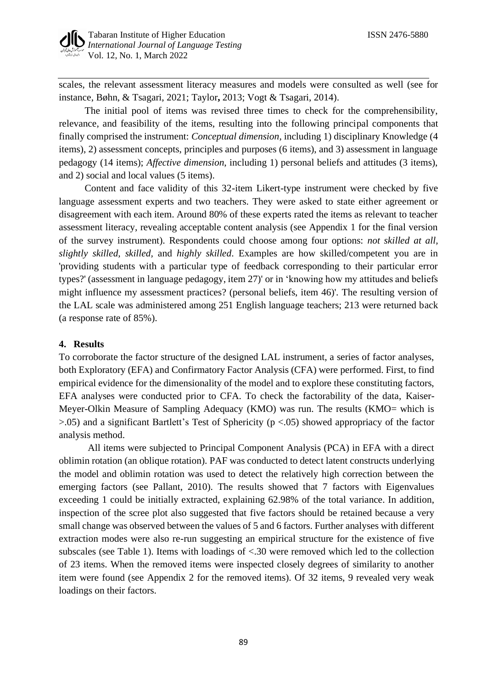scales, the relevant assessment literacy measures and models were consulted as well (see for instance, Bøhn, & Tsagari, 2021; Taylor**,** 2013; Vogt & Tsagari, 2014).

The initial pool of items was revised three times to check for the comprehensibility, relevance, and feasibility of the items, resulting into the following principal components that finally comprised the instrument: *Conceptual dimension*, including 1) disciplinary Knowledge (4 items), 2) assessment concepts, principles and purposes (6 items), and 3) assessment in language pedagogy (14 items); *Affective dimension*, including 1) personal beliefs and attitudes (3 items), and 2) social and local values (5 items).

Content and face validity of this 32-item Likert-type instrument were checked by five language assessment experts and two teachers. They were asked to state either agreement or disagreement with each item. Around 80% of these experts rated the items as relevant to teacher assessment literacy, revealing acceptable content analysis (see Appendix 1 for the final version of the survey instrument). Respondents could choose among four options: *not skilled at all, slightly skilled, skilled,* and *highly skilled*. Examples are how skilled/competent you are in 'providing students with a particular type of feedback corresponding to their particular error types?' (assessment in language pedagogy, item 27)' or in 'knowing how my attitudes and beliefs might influence my assessment practices? (personal beliefs, item 46)'. The resulting version of the LAL scale was administered among 251 English language teachers; 213 were returned back (a response rate of 85%).

## **4. Results**

To corroborate the factor structure of the designed LAL instrument, a series of factor analyses, both Exploratory (EFA) and Confirmatory Factor Analysis (CFA) were performed. First, to find empirical evidence for the dimensionality of the model and to explore these constituting factors, EFA analyses were conducted prior to CFA. To check the factorability of the data, Kaiser-Meyer-Olkin Measure of Sampling Adequacy (KMO) was run. The results (KMO= which is  $>0.05$ ) and a significant Bartlett's Test of Sphericity ( $p < 0.05$ ) showed appropriacy of the factor analysis method.

All items were subjected to Principal Component Analysis (PCA) in EFA with a direct oblimin rotation (an oblique rotation). PAF was conducted to detect latent constructs underlying the model and oblimin rotation was used to detect the relatively high correction between the emerging factors (see Pallant, 2010). The results showed that 7 factors with Eigenvalues exceeding 1 could be initially extracted, explaining 62.98% of the total variance. In addition, inspection of the scree plot also suggested that five factors should be retained because a very small change was observed between the values of 5 and 6 factors. Further analyses with different extraction modes were also re-run suggesting an empirical structure for the existence of five subscales (see Table 1). Items with loadings of <.30 were removed which led to the collection of 23 items. When the removed items were inspected closely degrees of similarity to another item were found (see Appendix 2 for the removed items). Of 32 items, 9 revealed very weak loadings on their factors.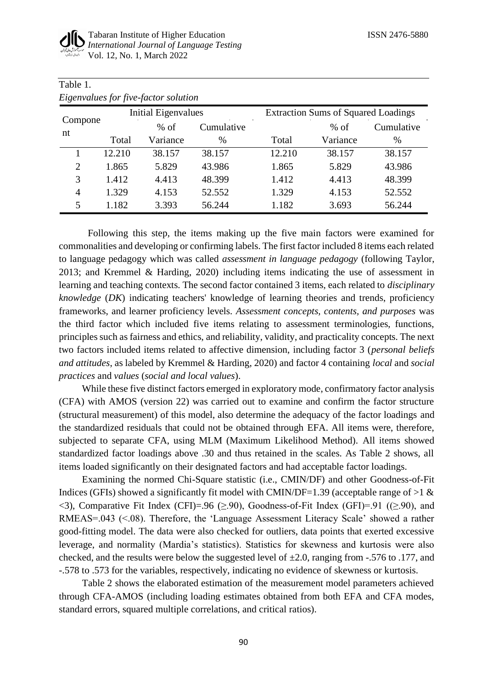$T = 1.1.4$ 

| Table 1.        |                                      |          |            |                                            |          |            |  |
|-----------------|--------------------------------------|----------|------------|--------------------------------------------|----------|------------|--|
|                 | Eigenvalues for five-factor solution |          |            |                                            |          |            |  |
|                 | <b>Initial Eigenvalues</b>           |          |            | <b>Extraction Sums of Squared Loadings</b> |          |            |  |
| Compone -<br>nt | $%$ of                               |          | Cumulative |                                            | $%$ of   | Cumulative |  |
|                 | Total                                | Variance | $\%$       | Total                                      | Variance | %          |  |
|                 | 12.210                               | 38.157   | 38.157     | 12.210                                     | 38.157   | 38.157     |  |
| $\overline{2}$  | 1.865                                | 5.829    | 43.986     | 1.865                                      | 5.829    | 43.986     |  |
| 3               | 1.412                                | 4.413    | 48.399     | 1.412                                      | 4.413    | 48.399     |  |
| 4               | 1.329                                | 4.153    | 52.552     | 1.329                                      | 4.153    | 52.552     |  |
| 5               | 1.182                                | 3.393    | 56.244     | 1.182                                      | 3.693    | 56.244     |  |

Following this step, the items making up the five main factors were examined for commonalities and developing or confirming labels. The first factor included 8 items each related to language pedagogy which was called *assessment in language pedagogy* (following Taylor, 2013; and Kremmel & Harding, 2020) including items indicating the use of assessment in learning and teaching contexts. The second factor contained 3 items, each related to *disciplinary knowledge* (*DK*) indicating teachers' knowledge of learning theories and trends, proficiency frameworks, and learner proficiency levels. *Assessment concepts, contents, and purposes* was the third factor which included five items relating to assessment terminologies, functions, principles such as fairness and ethics, and reliability, validity, and practicality concepts. The next two factors included items related to affective dimension, including factor 3 (*personal beliefs and attitudes*, as labeled by Kremmel & Harding, 2020) and factor 4 containing *local* and *social practices* and *values* (*social and local values*).

While these five distinct factors emerged in exploratory mode, confirmatory factor analysis (CFA) with AMOS (version 22) was carried out to examine and confirm the factor structure (structural measurement) of this model, also determine the adequacy of the factor loadings and the standardized residuals that could not be obtained through EFA. All items were, therefore, subjected to separate CFA, using MLM (Maximum Likelihood Method). All items showed standardized factor loadings above .30 and thus retained in the scales. As Table 2 shows, all items loaded significantly on their designated factors and had acceptable factor loadings.

Examining the normed Chi-Square statistic (i.e., CMIN/DF) and other Goodness-of-Fit Indices (GFIs) showed a significantly fit model with CMIN/DF=1.39 (acceptable range of  $>1$  &  $\langle$ 3), Comparative Fit Index (CFI)=.96 ( $\geq$ .90), Goodness-of-Fit Index (GFI)=.91 (( $\geq$ .90), and RMEAS=.043 (<.08). Therefore, the 'Language Assessment Literacy Scale' showed a rather good-fitting model. The data were also checked for outliers, data points that exerted excessive leverage, and normality (Mardia's statistics). Statistics for skewness and kurtosis were also checked, and the results were below the suggested level of  $\pm 2.0$ , ranging from -.576 to .177, and -.578 to .573 for the variables, respectively, indicating no evidence of skewness or kurtosis.

Table 2 shows the elaborated estimation of the measurement model parameters achieved through CFA-AMOS (including loading estimates obtained from both EFA and CFA modes, standard errors, squared multiple correlations, and critical ratios).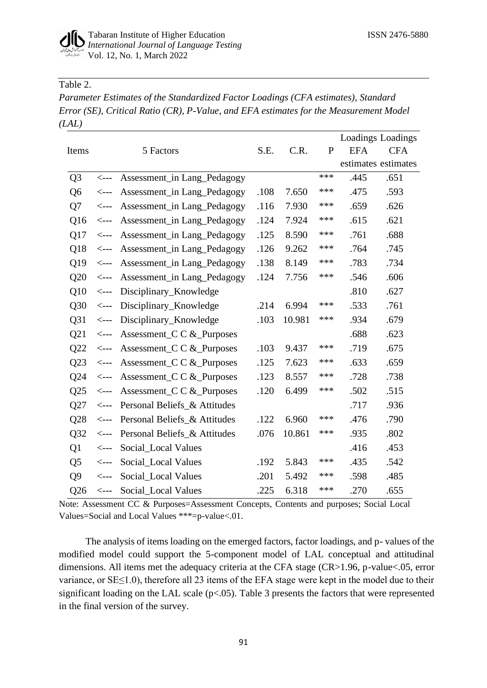## Table 2.

*Parameter Estimates of the Standardized Factor Loadings (CFA estimates), Standard Error (SE), Critical Ratio (CR), P-Value, and EFA estimates for the Measurement Model (LAL)*

|                |                                    |                              |      |        |              |            | Loadings Loadings   |
|----------------|------------------------------------|------------------------------|------|--------|--------------|------------|---------------------|
| Items          |                                    | 5 Factors                    | S.E. | C.R.   | $\mathbf{P}$ | <b>EFA</b> | <b>CFA</b>          |
|                |                                    |                              |      |        |              |            | estimates estimates |
| Q <sub>3</sub> | $\leftarrow$ ---                   | Assessment_in Lang_Pedagogy  |      |        | ***          | .445       | .651                |
| Q <sub>6</sub> | $\leftarrow$ ---                   | Assessment_in Lang_Pedagogy  | .108 | 7.650  | ***          | .475       | .593                |
| Q7             | $\leftarrow$ ---                   | Assessment_in Lang_Pedagogy  | .116 | 7.930  | ***          | .659       | .626                |
| Q16            | $\operatorname{\!<\!---}\nolimits$ | Assessment_in Lang_Pedagogy  | .124 | 7.924  | ***          | .615       | .621                |
| Q17            | $\operatorname{\!<\!---}\nolimits$ | Assessment_in Lang_Pedagogy  | .125 | 8.590  | ***          | .761       | .688                |
| Q18            | $\leftarrow$ ---                   | Assessment_in Lang_Pedagogy  | .126 | 9.262  | ***          | .764       | .745                |
| Q19            | $\operatorname{\!<\!---}\nolimits$ | Assessment_in Lang_Pedagogy  | .138 | 8.149  | ***          | .783       | .734                |
| Q20            | $\leftarrow$ ---                   | Assessment_in Lang_Pedagogy  | .124 | 7.756  | ***          | .546       | .606                |
| Q10            | $\operatorname{\!<\!---}\nolimits$ | Disciplinary_Knowledge       |      |        |              | .810       | .627                |
| Q30            | $\leftarrow$ ---                   | Disciplinary_Knowledge       | .214 | 6.994  | ***          | .533       | .761                |
| Q31            | $\leftarrow$ ---                   | Disciplinary_Knowledge       | .103 | 10.981 | ***          | .934       | .679                |
| Q21            | $\leftarrow$ ---                   | Assessment_C C &_Purposes    |      |        |              | .688       | .623                |
| Q22            | $\leftarrow$ ---                   | Assessment_C C &_Purposes    | .103 | 9.437  | ***          | .719       | .675                |
| Q23            | $\operatorname{\!<\!---}\nolimits$ | Assessment_C C &_Purposes    | .125 | 7.623  | ***          | .633       | .659                |
| Q24            | $\leftarrow$ ---                   | Assessment_C C &_Purposes    | .123 | 8.557  | ***          | .728       | .738                |
| Q25            | $\leftarrow$ --                    | Assessment_C C &_Purposes    | .120 | 6.499  | ***          | .502       | .515                |
| Q27            | $\leftarrow$ ---                   | Personal Beliefs_& Attitudes |      |        |              | .717       | .936                |
| Q28            | $\leftarrow$ ---                   | Personal Beliefs_& Attitudes | .122 | 6.960  | ***          | .476       | .790                |
| Q32            | $\leftarrow$ ---                   | Personal Beliefs_& Attitudes | .076 | 10.861 | ***          | .935       | .802                |
| Q1             | $\leftarrow$ ---                   | Social_Local Values          |      |        |              | .416       | .453                |
| Q <sub>5</sub> | $\operatorname{\!<\!---}\nolimits$ | Social_Local Values          | .192 | 5.843  | ***          | .435       | .542                |
| Q <sub>9</sub> | <---                               | Social_Local Values          | .201 | 5.492  | ***          | .598       | .485                |
| Q26            | <---                               | Social_Local Values          | .225 | 6.318  | ***          | .270       | .655                |

Note: Assessment CC & Purposes=Assessment Concepts, Contents and purposes; Social Local Values=Social and Local Values \*\*\*=p-value<.01.

The analysis of items loading on the emerged factors, factor loadings, and p- values of the modified model could support the 5-component model of LAL conceptual and attitudinal dimensions. All items met the adequacy criteria at the CFA stage (CR>1.96, p-value<.05, error variance, or SE≤1.0), therefore all 23 items of the EFA stage were kept in the model due to their significant loading on the LAL scale  $(p<.05)$ . Table 3 presents the factors that were represented in the final version of the survey.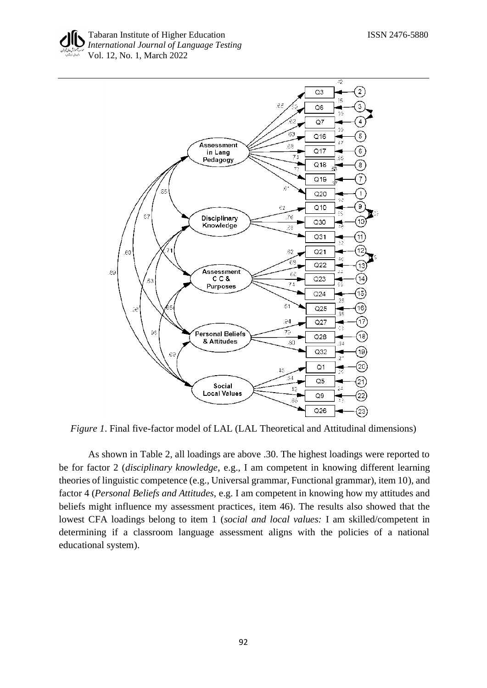



*Figure 1*. Final five-factor model of LAL (LAL Theoretical and Attitudinal dimensions)

As shown in Table 2, all loadings are above .30. The highest loadings were reported to be for factor 2 (*disciplinary knowledge*, e.g., I am competent in knowing different learning theories of linguistic competence (e.g., Universal grammar, Functional grammar), item 10), and factor 4 (*Personal Beliefs and Attitudes,* e.g. I am competent in knowing how my attitudes and beliefs might influence my assessment practices, item 46). The results also showed that the lowest CFA loadings belong to item 1 (*social and local values:* I am skilled/competent in determining if a classroom language assessment aligns with the policies of a national educational system).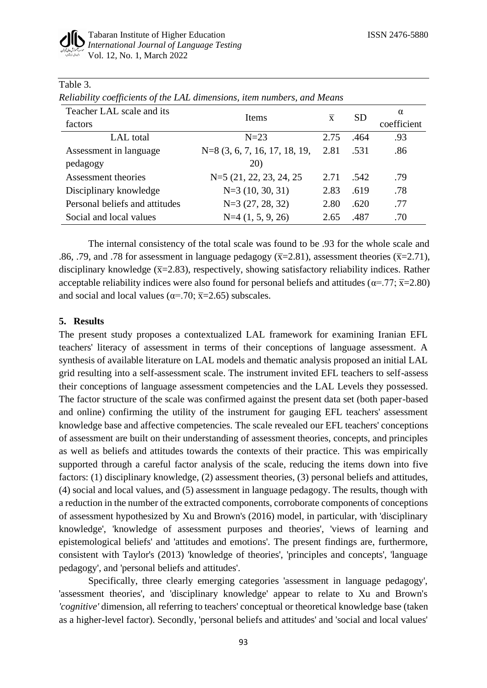| Reliability coefficients of the LAL dimensions, item numbers, and Means |                                 |                |           |             |
|-------------------------------------------------------------------------|---------------------------------|----------------|-----------|-------------|
| Teacher LAL scale and its                                               | Items                           | $\overline{x}$ | <b>SD</b> | $\alpha$    |
| factors                                                                 |                                 |                |           | coefficient |
| LAL total                                                               | $N=23$                          | 2.75           | .464      | .93         |
| Assessment in language                                                  | $N=8$ (3, 6, 7, 16, 17, 18, 19, | 2.81           | .531      | .86         |
| pedagogy                                                                | 20)                             |                |           |             |
| Assessment theories                                                     | N=5 (21, 22, 23, 24, 25)        | 2.71           | .542      | .79         |
| Disciplinary knowledge                                                  | $N=3(10, 30, 31)$               | 2.83           | .619      | .78         |
| Personal beliefs and attitudes                                          | $N=3(27, 28, 32)$               | 2.80           | .620      | .77         |
| Social and local values                                                 | $N=4$ $(1, 5, 9, 26)$           | 2.65           | .487      | .70         |

## Table 3.

The internal consistency of the total scale was found to be .93 for the whole scale and .86, .79, and .78 for assessment in language pedagogy ( $\overline{x}$ =2.81), assessment theories ( $\overline{x}$ =2.71), disciplinary knowledge ( $\overline{x}$ =2.83), respectively, showing satisfactory reliability indices. Rather acceptable reliability indices were also found for personal beliefs and attitudes ( $\alpha = .77$ ;  $\bar{x} = 2.80$ ) and social and local values ( $\alpha = .70$ ;  $\overline{x} = 2.65$ ) subscales.

### **5. Results**

The present study proposes a contextualized LAL framework for examining Iranian EFL teachers' literacy of assessment in terms of their conceptions of language assessment. A synthesis of available literature on LAL models and thematic analysis proposed an initial LAL grid resulting into a self-assessment scale. The instrument invited EFL teachers to self-assess their conceptions of language assessment competencies and the LAL Levels they possessed. The factor structure of the scale was confirmed against the present data set (both paper-based and online) confirming the utility of the instrument for gauging EFL teachers' assessment knowledge base and affective competencies. The scale revealed our EFL teachers' conceptions of assessment are built on their understanding of assessment theories, concepts, and principles as well as beliefs and attitudes towards the contexts of their practice. This was empirically supported through a careful factor analysis of the scale, reducing the items down into five factors: (1) disciplinary knowledge, (2) assessment theories, (3) personal beliefs and attitudes, (4) social and local values, and (5) assessment in language pedagogy. The results, though with a reduction in the number of the extracted components, corroborate components of conceptions of assessment hypothesized by Xu and Brown's (2016) model, in particular, with 'disciplinary knowledge', 'knowledge of assessment purposes and theories', 'views of learning and epistemological beliefs' and 'attitudes and emotions'. The present findings are, furthermore, consistent with Taylor's (2013) 'knowledge of theories', 'principles and concepts', 'language pedagogy', and 'personal beliefs and attitudes'.

Specifically, three clearly emerging categories 'assessment in language pedagogy', 'assessment theories', and 'disciplinary knowledge' appear to relate to Xu and Brown's *'cognitive'* dimension, all referring to teachers' conceptual or theoretical knowledge base (taken as a higher-level factor). Secondly, 'personal beliefs and attitudes' and 'social and local values'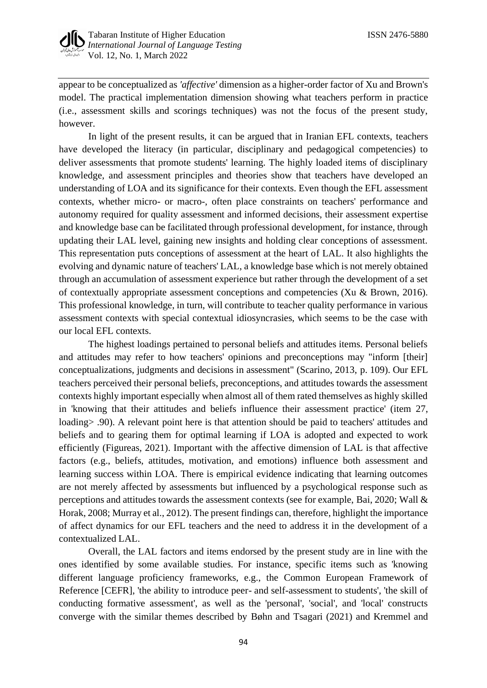

appear to be conceptualized as *'affective'* dimension as a higher-order factor of Xu and Brown's model. The practical implementation dimension showing what teachers perform in practice (i.e., assessment skills and scorings techniques) was not the focus of the present study, however.

In light of the present results, it can be argued that in Iranian EFL contexts, teachers have developed the literacy (in particular, disciplinary and pedagogical competencies) to deliver assessments that promote students' learning. The highly loaded items of disciplinary knowledge, and assessment principles and theories show that teachers have developed an understanding of LOA and its significance for their contexts. Even though the EFL assessment contexts, whether micro- or macro-, often place constraints on teachers' performance and autonomy required for quality assessment and informed decisions, their assessment expertise and knowledge base can be facilitated through professional development, for instance, through updating their LAL level, gaining new insights and holding clear conceptions of assessment. This representation puts conceptions of assessment at the heart of LAL. It also highlights the evolving and dynamic nature of teachers' LAL, a knowledge base which is not merely obtained through an accumulation of assessment experience but rather through the development of a set of contextually appropriate assessment conceptions and competencies (Xu & Brown, 2016). This professional knowledge, in turn, will contribute to teacher quality performance in various assessment contexts with special contextual idiosyncrasies, which seems to be the case with our local EFL contexts.

The highest loadings pertained to personal beliefs and attitudes items. Personal beliefs and attitudes may refer to how teachers' opinions and preconceptions may "inform [their] conceptualizations, judgments and decisions in assessment" (Scarino, 2013, p. 109). Our EFL teachers perceived their personal beliefs, preconceptions, and attitudes towards the assessment contexts highly important especially when almost all of them rated themselves as highly skilled in 'knowing that their attitudes and beliefs influence their assessment practice' (item 27, loading> .90). A relevant point here is that attention should be paid to teachers' attitudes and beliefs and to gearing them for optimal learning if LOA is adopted and expected to work efficiently (Figureas, 2021). Important with the affective dimension of LAL is that affective factors (e.g., beliefs, attitudes, motivation, and emotions) influence both assessment and learning success within LOA. There is empirical evidence indicating that learning outcomes are not merely affected by assessments but influenced by a psychological response such as perceptions and attitudes towards the assessment contexts (see for example, Bai, 2020; Wall & Horak, 2008; Murray et al., 2012). The present findings can, therefore, highlight the importance of affect dynamics for our EFL teachers and the need to address it in the development of a contextualized LAL.

Overall, the LAL factors and items endorsed by the present study are in line with the ones identified by some available studies. For instance, specific items such as 'knowing different language proficiency frameworks, e.g., the Common European Framework of Reference [CEFR], 'the ability to introduce peer- and self-assessment to students', 'the skill of conducting formative assessment', as well as the 'personal', 'social', and 'local' constructs converge with the similar themes described by Bøhn and Tsagari (2021) and Kremmel and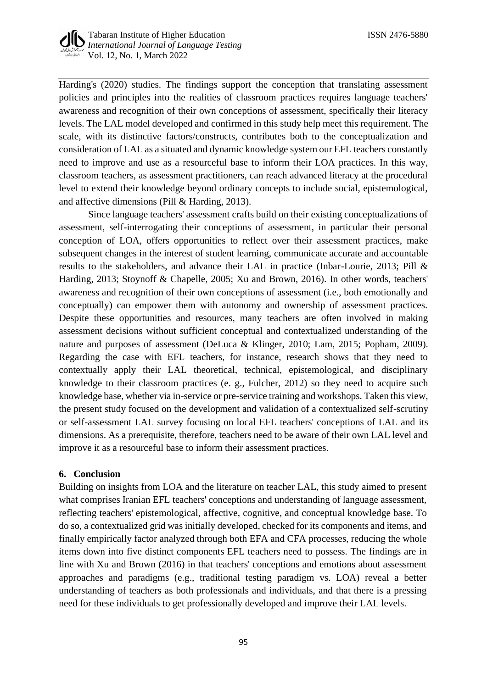Harding's (2020) studies. The findings support the conception that translating assessment policies and principles into the realities of classroom practices requires language teachers' awareness and recognition of their own conceptions of assessment, specifically their literacy levels. The LAL model developed and confirmed in this study help meet this requirement. The scale, with its distinctive factors/constructs, contributes both to the conceptualization and consideration of LAL as a situated and dynamic knowledge system our EFL teachers constantly need to improve and use as a resourceful base to inform their LOA practices. In this way, classroom teachers, as assessment practitioners, can reach advanced literacy at the procedural level to extend their knowledge beyond ordinary concepts to include social, epistemological, and affective dimensions (Pill & Harding, 2013).

Since language teachers' assessment crafts build on their existing conceptualizations of assessment, self-interrogating their conceptions of assessment, in particular their personal conception of LOA, offers opportunities to reflect over their assessment practices, make subsequent changes in the interest of student learning, communicate accurate and accountable results to the stakeholders, and advance their LAL in practice (Inbar-Lourie, 2013; Pill & Harding, 2013; Stoynoff & Chapelle, 2005; Xu and Brown, 2016). In other words, teachers' awareness and recognition of their own conceptions of assessment (i.e., both emotionally and conceptually) can empower them with autonomy and ownership of assessment practices. Despite these opportunities and resources, many teachers are often involved in making assessment decisions without sufficient conceptual and contextualized understanding of the nature and purposes of assessment (DeLuca & Klinger, 2010; Lam, 2015; Popham, 2009). Regarding the case with EFL teachers, for instance, research shows that they need to contextually apply their LAL theoretical, technical, epistemological, and disciplinary knowledge to their classroom practices (e. g., Fulcher, 2012) so they need to acquire such knowledge base, whether via in-service or pre-service training and workshops. Taken this view, the present study focused on the development and validation of a contextualized self-scrutiny or self-assessment LAL survey focusing on local EFL teachers' conceptions of LAL and its dimensions. As a prerequisite, therefore, teachers need to be aware of their own LAL level and improve it as a resourceful base to inform their assessment practices.

### **6. Conclusion**

Building on insights from LOA and the literature on teacher LAL, this study aimed to present what comprises Iranian EFL teachers' conceptions and understanding of language assessment, reflecting teachers' epistemological, affective, cognitive, and conceptual knowledge base. To do so, a contextualized grid was initially developed, checked for its components and items, and finally empirically factor analyzed through both EFA and CFA processes, reducing the whole items down into five distinct components EFL teachers need to possess. The findings are in line with Xu and Brown (2016) in that teachers' conceptions and emotions about assessment approaches and paradigms (e.g., traditional testing paradigm vs. LOA) reveal a better understanding of teachers as both professionals and individuals, and that there is a pressing need for these individuals to get professionally developed and improve their LAL levels.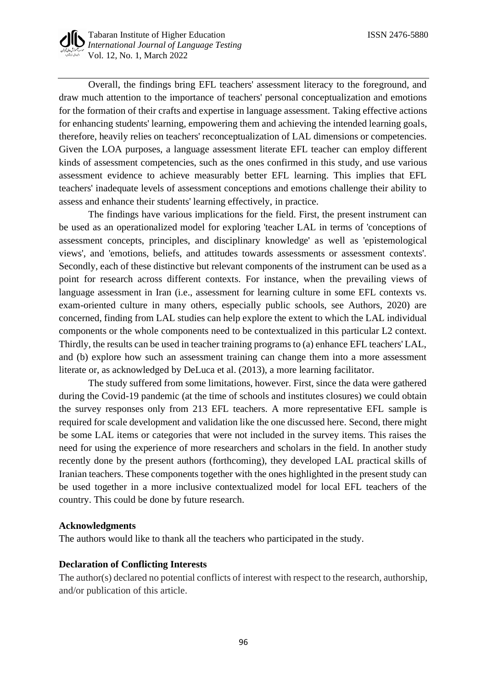

Overall, the findings bring EFL teachers' assessment literacy to the foreground, and draw much attention to the importance of teachers' personal conceptualization and emotions for the formation of their crafts and expertise in language assessment. Taking effective actions for enhancing students' learning, empowering them and achieving the intended learning goals, therefore, heavily relies on teachers' reconceptualization of LAL dimensions or competencies. Given the LOA purposes, a language assessment literate EFL teacher can employ different kinds of assessment competencies, such as the ones confirmed in this study, and use various assessment evidence to achieve measurably better EFL learning. This implies that EFL teachers' inadequate levels of assessment conceptions and emotions challenge their ability to assess and enhance their students' learning effectively, in practice.

The findings have various implications for the field. First, the present instrument can be used as an operationalized model for exploring 'teacher LAL in terms of 'conceptions of assessment concepts, principles, and disciplinary knowledge' as well as 'epistemological views', and 'emotions, beliefs, and attitudes towards assessments or assessment contexts'. Secondly, each of these distinctive but relevant components of the instrument can be used as a point for research across different contexts. For instance, when the prevailing views of language assessment in Iran (i.e., assessment for learning culture in some EFL contexts vs. exam-oriented culture in many others, especially public schools, see Authors, 2020) are concerned, finding from LAL studies can help explore the extent to which the LAL individual components or the whole components need to be contextualized in this particular L2 context. Thirdly, the results can be used in teacher training programs to (a) enhance EFL teachers' LAL, and (b) explore how such an assessment training can change them into a more assessment literate or, as acknowledged by DeLuca et al. (2013), a more learning facilitator.

The study suffered from some limitations, however. First, since the data were gathered during the Covid-19 pandemic (at the time of schools and institutes closures) we could obtain the survey responses only from 213 EFL teachers. A more representative EFL sample is required for scale development and validation like the one discussed here. Second, there might be some LAL items or categories that were not included in the survey items. This raises the need for using the experience of more researchers and scholars in the field. In another study recently done by the present authors (forthcoming), they developed LAL practical skills of Iranian teachers. These components together with the ones highlighted in the present study can be used together in a more inclusive contextualized model for local EFL teachers of the country. This could be done by future research.

### **Acknowledgments**

The authors would like to thank all the teachers who participated in the study.

### **Declaration of Conflicting Interests**

The author(s) declared no potential conflicts of interest with respect to the research, authorship, and/or publication of this article.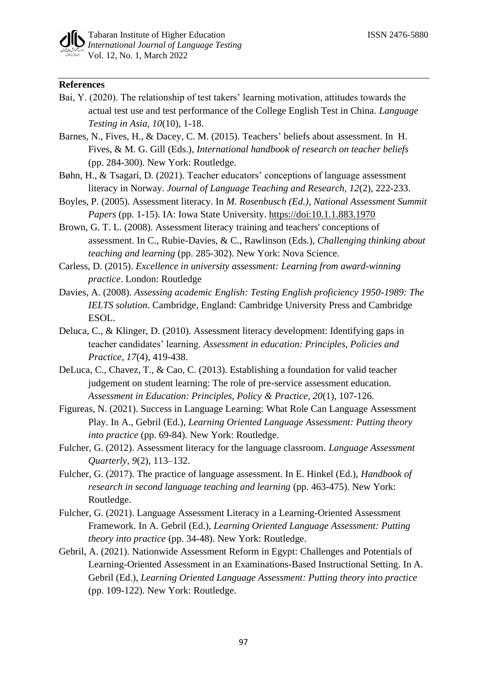## **References**

- Bai, Y. (2020). The relationship of test takers' learning motivation, attitudes towards the actual test use and test performance of the College English Test in China. *Language Testing in Asia, 10*(10), 1-18.
- Barnes, N., Fives, H., & Dacey, C. M. (2015). Teachers' beliefs about assessment. In H. Fives, & M. G. Gill (Eds.), *International handbook of research on teacher beliefs* (pp. 284-300). New York: Routledge*.*
- Bøhn, H., & Tsagari, D. (2021). Teacher educators' conceptions of language assessment literacy in Norway. *Journal of Language Teaching and Research, 12*(2), 222-233.
- Boyles, P. (2005). Assessment literacy. In *M. Rosenbusch (Ed.), National Assessment Summit Papers* (pp. 1-15). IA: Iowa State University.<https://doi:10.1.1.883.1970>
- Brown, G. T. L. (2008). Assessment literacy training and teachers' conceptions of assessment. In C., Rubie-Davies, & C., Rawlinson (Eds.), *Challenging thinking about teaching and learning* (pp. 285-302). New York: Nova Science.
- Carless, D. (2015). *Excellence in university assessment: Learning from award-winning practice*. London: Routledge
- Davies, A. (2008). *Assessing academic English: Testing English proficiency 1950-1989: The IELTS solution*. Cambridge, England: Cambridge University Press and Cambridge ESOL.
- Deluca, C., & Klinger, D. (2010). Assessment literacy development: Identifying gaps in teacher candidates' learning. *Assessment in education: Principles, Policies and Practice, 17*(4), 419-438.
- DeLuca, C., Chavez, T., & Cao, C. (2013). Establishing a foundation for valid teacher judgement on student learning: The role of pre-service assessment education. *Assessment in Education: Principles, Policy & Practice, 20*(1), 107-126.
- Figureas, N. (2021). Success in Language Learning: What Role Can Language Assessment Play. In A., Gebril (Ed.), *Learning Oriented Language Assessment: Putting theory into practice* (pp. 69-84). New York: Routledge.
- Fulcher, G. (2012). Assessment literacy for the language classroom. *Language Assessment Quarterly, 9*(2), 113–132.
- Fulcher, G. (2017). The practice of language assessment. In E. Hinkel (Ed.), *Handbook of research in second language teaching and learning* (pp. 463-475). New York: Routledge.
- Fulcher, G. (2021). Language Assessment Literacy in a Learning-Oriented Assessment Framework. In A. Gebril (Ed.), *Learning Oriented Language Assessment: Putting theory into practice* (pp. 34-48). New York: Routledge.
- Gebril, A. (2021). Nationwide Assessment Reform in Egypt: Challenges and Potentials of Learning-Oriented Assessment in an Examinations-Based Instructional Setting. In A. Gebril (Ed.), *Learning Oriented Language Assessment: Putting theory into practice* (pp. 109-122). New York: Routledge.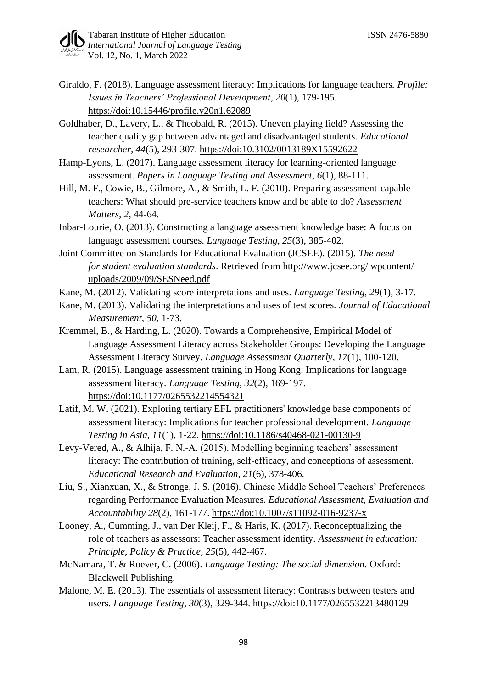- Giraldo, F. (2018). Language assessment literacy: Implications for language teachers. *Profile: Issues in Teachers' Professional Development, 20*(1), 179-195. <https://doi:10.15446/profile.v20n1.62089>
- Goldhaber, D., Lavery, L., & Theobald, R. (2015). Uneven playing field? Assessing the teacher quality gap between advantaged and disadvantaged students. *Educational researcher, 44*(5), 293-307.<https://doi:10.3102/0013189X15592622>
- Hamp-Lyons, L. (2017). Language assessment literacy for learning-oriented language assessment. *Papers in Language Testing and Assessment, 6*(1), 88-111.
- Hill, M. F., Cowie, B., Gilmore, A., & Smith, L. F. (2010). Preparing assessment-capable teachers: What should pre-service teachers know and be able to do? *Assessment Matters, 2*, 44-64.
- Inbar-Lourie, O. (2013). Constructing a language assessment knowledge base: A focus on language assessment courses. *Language Testing, 25*(3), 385-402.
- Joint Committee on Standards for Educational Evaluation (JCSEE). (2015). *The need for student evaluation standards*. Retrieved from [http://www.jcsee.org/ wpcontent/](http://www.jcsee.org/%20wpcontent/%20uploads/2009/09/SESNeed.pdf)  [uploads/2009/09/SESNeed.pdf](http://www.jcsee.org/%20wpcontent/%20uploads/2009/09/SESNeed.pdf)
- Kane, M. (2012). Validating score interpretations and uses. *Language Testing, 29*(1), 3-17.
- Kane, M. (2013). Validating the interpretations and uses of test scores. *Journal of Educational Measurement, 50*, 1-73.
- Kremmel, B., & Harding, L. (2020). Towards a Comprehensive, Empirical Model of Language Assessment Literacy across Stakeholder Groups: Developing the Language Assessment Literacy Survey. *Language Assessment Quarterly, 17*(1), 100-120.
- Lam, R. (2015). Language assessment training in Hong Kong: Implications for language assessment literacy. *Language Testing, 32*(2), 169-197. <https://doi:10.1177/0265532214554321>
- Latif, M. W. (2021). Exploring tertiary EFL practitioners' knowledge base components of assessment literacy: Implications for teacher professional development. *Language Testing in Asia, 11*(1), 1-22.<https://doi:10.1186/s40468-021-00130-9>
- Levy-Vered, A., & Alhija, F. N.-A. (2015). Modelling beginning teachers' assessment literacy: The contribution of training, self-efficacy, and conceptions of assessment. *Educational Research and Evaluation, 21*(6), 378-406.
- Liu, S., Xianxuan, X., & Stronge, J. S. (2016). Chinese Middle School Teachers' Preferences regarding Performance Evaluation Measures. *Educational Assessment, Evaluation and Accountability 28*(2), 161-177.<https://doi:10.1007/s11092-016-9237-x>
- Looney, A., Cumming, J., van Der Kleij, F., & Haris, K. (2017). Reconceptualizing the role of teachers as assessors: Teacher assessment identity. *Assessment in education: Principle, Policy & Practice, 25*(5), 442-467.
- McNamara, T. & Roever, C. (2006). *Language Testing: The social dimension.* Oxford: Blackwell Publishing.
- Malone, M. E. (2013). The essentials of assessment literacy: Contrasts between testers and users. *Language Testing, 30*(3), 329-344.<https://doi:10.1177/0265532213480129>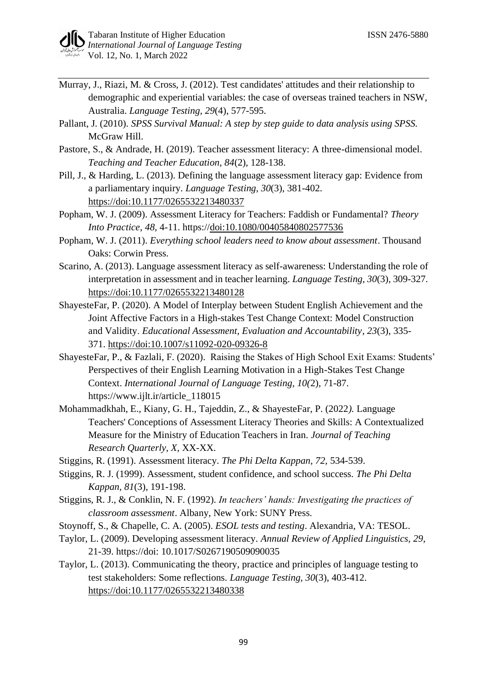- Murray, J., Riazi, M. & Cross, J. (2012). Test candidates' attitudes and their relationship to demographic and experiential variables: the case of overseas trained teachers in NSW, Australia. *Language Testing*, *29*(4), 577-595.
- Pallant, J. (2010). *SPSS Survival Manual: A step by step guide to data analysis using SPSS.* McGraw Hill.
- Pastore, S., & Andrade, H. (2019). Teacher assessment literacy: A three-dimensional model. *Teaching and Teacher Education, 84*(2), 128-138.
- Pill, J., & Harding, L. (2013). Defining the language assessment literacy gap: Evidence from a parliamentary inquiry. *Language Testing, 30*(3), 381-402. <https://doi:10.1177/0265532213480337>
- Popham, W. J. (2009). Assessment Literacy for Teachers: Faddish or Fundamental? *Theory Into Practice*, *48*, 4-11. https:/[/doi:10.1080/00405840802577536](https://doi.org/10.1080/00405840802577536)
- Popham, W. J. (2011). *Everything school leaders need to know about assessment*. Thousand Oaks: Corwin Press.
- Scarino, A. (2013). Language assessment literacy as self-awareness: Understanding the role of interpretation in assessment and in teacher learning. *Language Testing, 30*(3), 309-327. <https://doi:10.1177/0265532213480128>
- ShayesteFar, P. (2020). A Model of Interplay between Student English Achievement and the Joint Affective Factors in a High-stakes Test Change Context: Model Construction and Validity. *Educational Assessment, Evaluation and Accountability*, *23*(3), 335- 371. <https://doi:10.1007/s11092-020-09326-8>
- ShayesteFar, P., & Fazlali, F. (2020). [Raising the Stakes of High School Exit Exams: Students'](https://www.ijlt.ir/article_118015.html)  [Perspectives of their English Learning Motivation in a High-Stakes Test Change](https://www.ijlt.ir/article_118015.html)  [Context.](https://www.ijlt.ir/article_118015.html) *International Journal of Language Testing, 10(*2), 71-87. https://www.ijlt.ir/article\_118015
- Mohammadkhah, E., Kiany, G. H., Tajeddin, Z., & ShayesteFar, P. (2022*).* Language Teachers' Conceptions of Assessment Literacy Theories and Skills: A Contextualized Measure for the Ministry of Education Teachers in Iran. *Journal of Teaching Research Quarterly, X,* XX-XX.
- Stiggins, R. (1991). Assessment literacy. *The Phi Delta Kappan, 72,* 534-539.
- Stiggins, R. J. (1999). Assessment, student confidence, and school success. *The Phi Delta Kappan, 81*(3), 191-198.
- Stiggins, R. J., & Conklin, N. F. (1992). *In teachers' hands: Investigating the practices of classroom assessment*. Albany, New York: SUNY Press.
- Stoynoff, S., & Chapelle, C. A. (2005). *ESOL tests and testing*. Alexandria, VA: TESOL.
- Taylor, L. (2009). Developing assessment literacy. *Annual Review of Applied Linguistics, 29*, 21-39. https://doi: 10.1017/S0267190509090035
- Taylor, L. (2013). Communicating the theory, practice and principles of language testing to test stakeholders: Some reflections. *Language Testing, 30*(3), 403-412. <https://doi:10.1177/0265532213480338>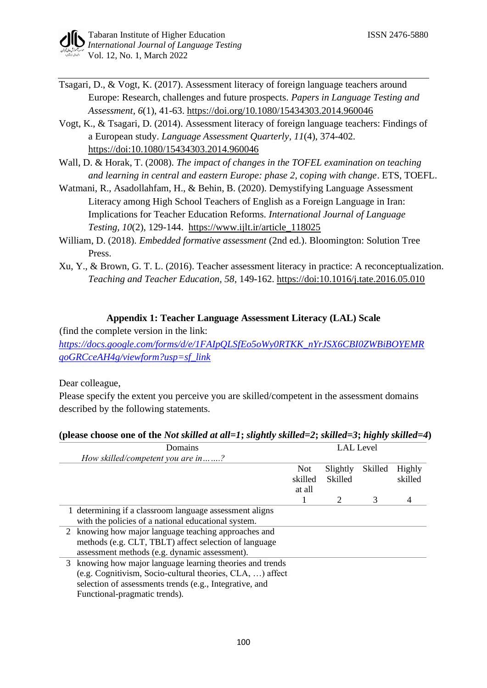- Tsagari, D., & Vogt, K. (2017). Assessment literacy of foreign language teachers around Europe: Research, challenges and future prospects. *Papers in Language Testing and Assessment, 6*(1), 41-63.<https://doi.org/10.1080/15434303.2014.960046>
- Vogt, K., & Tsagari, D. (2014). Assessment literacy of foreign language teachers: Findings of a European study. *Language Assessment Quarterly, 11*(4), 374-402. <https://doi:10.1080/15434303.2014.960046>
- Wall, D. & Horak, T. (2008). *The impact of changes in the TOFEL examination on teaching and learning in central and eastern Europe: phase 2, coping with change*. ETS, TOEFL.
- Watmani, R., Asadollahfam, H., & Behin, B. (2020). Demystifying Language Assessment Literacy among High School Teachers of English as a Foreign Language in Iran: Implications for Teacher Education Reforms. *International Journal of Language Testing, 10*(2), 129-144. [https://www.ijlt.ir/article\\_118025](https://www.ijlt.ir/article_118025)
- William, D. (2018). *Embedded formative assessment* (2nd ed.). Bloomington: Solution Tree Press.
- Xu, Y., & Brown, G. T. L. (2016). Teacher assessment literacy in practice: A reconceptualization. *Teaching and Teacher Education, 58*, 149-162.<https://doi:10.1016/j.tate.2016.05.010>

## **Appendix 1: Teacher Language Assessment Literacy (LAL) Scale**

(find the complete version in the link: *[https://docs.google.com/forms/d/e/1FAIpQLSfEo5oWy0RTKK\\_nYrJSX6CBI0ZWBiBOYEMR](https://docs.google.com/forms/d/e/1FAIpQLSfEo5oWy0RTKK_nYrJSX6CBI0ZWBiBOYEMRqoGRCceAH4g/viewform?usp=sf_link) [qoGRCceAH4g/viewform?usp=sf\\_link](https://docs.google.com/forms/d/e/1FAIpQLSfEo5oWy0RTKK_nYrJSX6CBI0ZWBiBOYEMRqoGRCceAH4g/viewform?usp=sf_link)*

Dear colleague,

Please specify the extent you perceive you are skilled/competent in the assessment domains described by the following statements.

|   | Domains                                                   |            |          | <b>LAL</b> Level |         |
|---|-----------------------------------------------------------|------------|----------|------------------|---------|
|   | How skilled/competent you are in?                         |            |          |                  |         |
|   |                                                           | <b>Not</b> | Slightly | Skilled          | Highly  |
|   |                                                           | skilled    | Skilled  |                  | skilled |
|   |                                                           | at all     |          |                  |         |
|   |                                                           |            |          | 3                | 4       |
|   | 1 determining if a classroom language assessment aligns   |            |          |                  |         |
|   | with the policies of a national educational system.       |            |          |                  |         |
| 2 | knowing how major language teaching approaches and        |            |          |                  |         |
|   | methods (e.g. CLT, TBLT) affect selection of language     |            |          |                  |         |
|   | assessment methods (e.g. dynamic assessment).             |            |          |                  |         |
|   | 3 knowing how major language learning theories and trends |            |          |                  |         |
|   | (e.g. Cognitivism, Socio-cultural theories, CLA, ) affect |            |          |                  |         |
|   | selection of assessments trends (e.g., Integrative, and   |            |          |                  |         |
|   | Functional-pragmatic trends).                             |            |          |                  |         |
|   |                                                           |            |          |                  |         |

## **(please choose one of the** *Not skilled at all=1***;** *slightly skilled=2***;** *skilled=3***;** *highly skilled=4***)**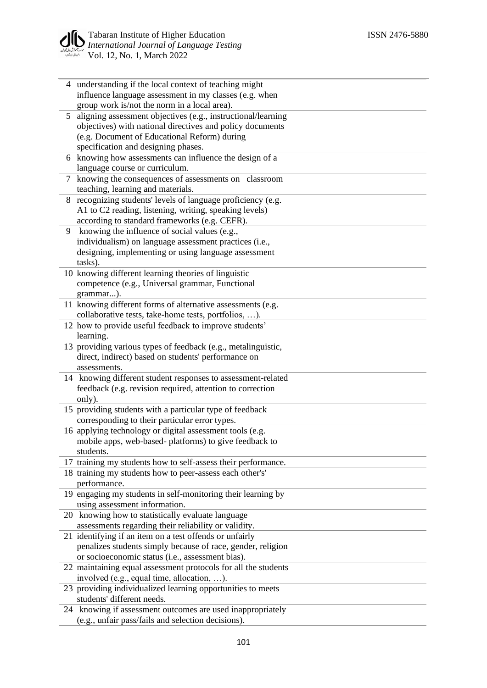

|                | 4 understanding if the local context of teaching might                                                     |
|----------------|------------------------------------------------------------------------------------------------------------|
|                | influence language assessment in my classes (e.g. when                                                     |
|                | group work is/not the norm in a local area).                                                               |
| 5 <sup>5</sup> | aligning assessment objectives (e.g., instructional/learning                                               |
|                | objectives) with national directives and policy documents                                                  |
|                | (e.g. Document of Educational Reform) during                                                               |
|                | specification and designing phases.<br>6 knowing how assessments can influence the design of a             |
|                | language course or curriculum.                                                                             |
| 7              | knowing the consequences of assessments on classroom                                                       |
|                | teaching, learning and materials.                                                                          |
| 8              | recognizing students' levels of language proficiency (e.g.                                                 |
|                | A1 to C2 reading, listening, writing, speaking levels)                                                     |
|                | according to standard frameworks (e.g. CEFR).                                                              |
| 9              | knowing the influence of social values (e.g.,                                                              |
|                | individualism) on language assessment practices (i.e.,                                                     |
|                | designing, implementing or using language assessment                                                       |
|                | tasks).                                                                                                    |
|                | 10 knowing different learning theories of linguistic                                                       |
|                | competence (e.g., Universal grammar, Functional                                                            |
|                | grammar).                                                                                                  |
|                | 11 knowing different forms of alternative assessments (e.g.                                                |
|                | collaborative tests, take-home tests, portfolios, ).                                                       |
|                | 12 how to provide useful feedback to improve students'                                                     |
|                | learning.                                                                                                  |
|                | 13 providing various types of feedback (e.g., metalinguistic,                                              |
|                | direct, indirect) based on students' performance on                                                        |
|                | assessments.                                                                                               |
|                | 14 knowing different student responses to assessment-related                                               |
|                | feedback (e.g. revision required, attention to correction                                                  |
|                | only).                                                                                                     |
|                | 15 providing students with a particular type of feedback                                                   |
|                | corresponding to their particular error types.<br>16 applying technology or digital assessment tools (e.g. |
|                | mobile apps, web-based-platforms) to give feedback to                                                      |
|                | students.                                                                                                  |
|                | 17 training my students how to self-assess their performance.                                              |
|                | 18 training my students how to peer-assess each other's'                                                   |
|                | performance.                                                                                               |
|                | 19 engaging my students in self-monitoring their learning by                                               |
|                | using assessment information.                                                                              |
|                | 20 knowing how to statistically evaluate language                                                          |
|                | assessments regarding their reliability or validity.                                                       |
|                | 21 identifying if an item on a test offends or unfairly                                                    |
|                | penalizes students simply because of race, gender, religion                                                |
|                | or socioeconomic status (i.e., assessment bias).                                                           |
|                | 22 maintaining equal assessment protocols for all the students                                             |
|                | involved (e.g., equal time, allocation, ).                                                                 |
|                | 23 providing individualized learning opportunities to meets                                                |
|                | students' different needs.                                                                                 |
|                | 24 knowing if assessment outcomes are used inappropriately                                                 |
|                | (e.g., unfair pass/fails and selection decisions).                                                         |